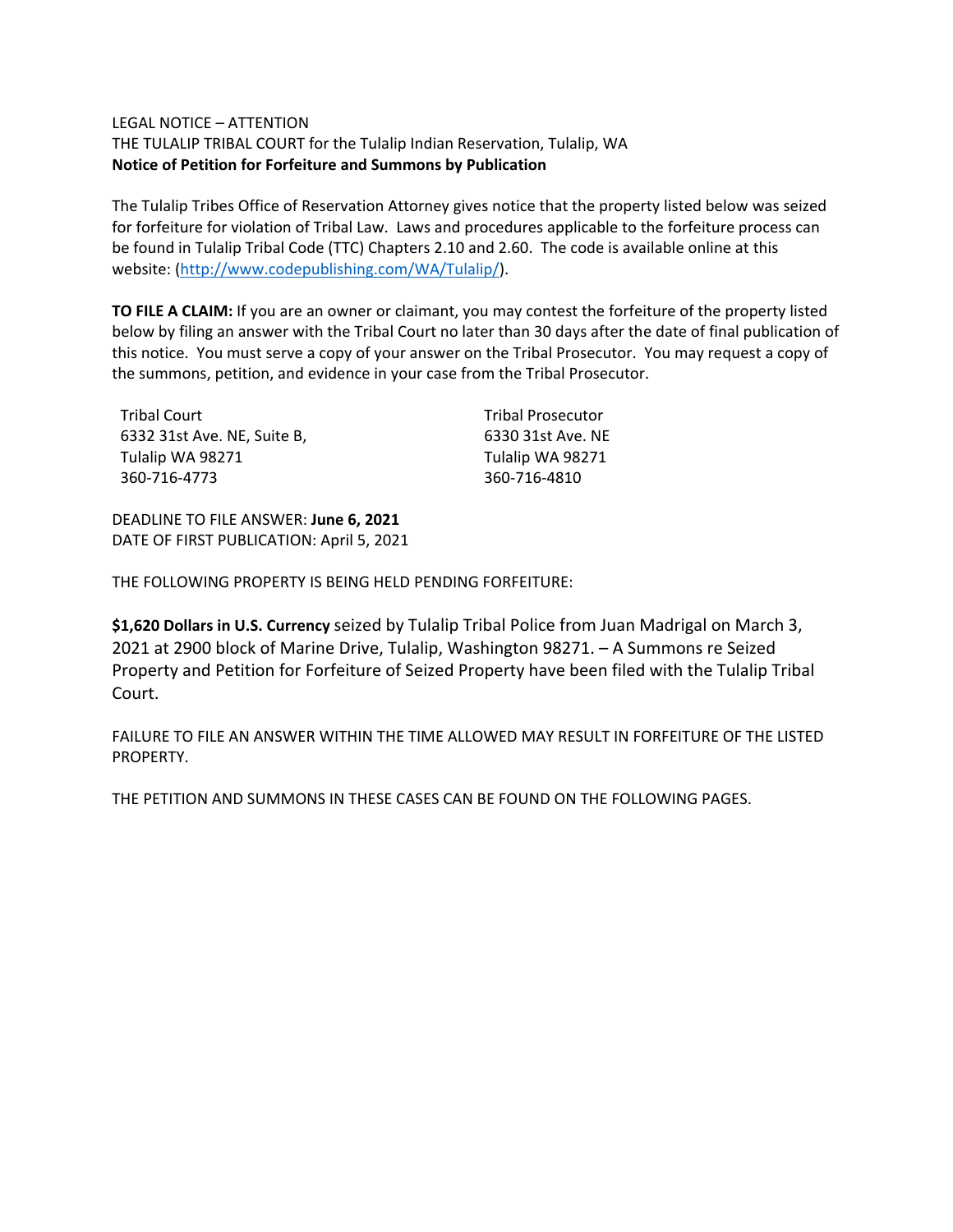## LEGAL NOTICE – ATTENTION

THE TULALIP TRIBAL COURT for the Tulalip Indian Reservation, Tulalip, WA **Notice of Petition for Forfeiture and Summons by Publication**

The Tulalip Tribes Office of Reservation Attorney gives notice that the property listed below was seized for forfeiture for violation of Tribal Law. Laws and procedures applicable to the forfeiture process can be found in Tulalip Tribal Code (TTC) Chapters 2.10 and 2.60. The code is available online at this website: [\(http://www.codepublishing.com/WA/Tulalip/\)](http://www.codepublishing.com/WA/Tulalip/).

**TO FILE A CLAIM:** If you are an owner or claimant, you may contest the forfeiture of the property listed below by filing an answer with the Tribal Court no later than 30 days after the date of final publication of this notice. You must serve a copy of your answer on the Tribal Prosecutor. You may request a copy of the summons, petition, and evidence in your case from the Tribal Prosecutor.

| Tribal Court                | <b>Tribal Prosecutor</b> |
|-----------------------------|--------------------------|
| 6332 31st Ave. NE, Suite B, | 6330 31st Ave. NE        |
| Tulalip WA 98271            | Tulalip WA 98271         |
| 360-716-4773                | 360-716-4810             |

DEADLINE TO FILE ANSWER: **June 6, 2021** DATE OF FIRST PUBLICATION: April 5, 2021

THE FOLLOWING PROPERTY IS BEING HELD PENDING FORFEITURE:

**\$1,620 Dollars in U.S. Currency** seized by Tulalip Tribal Police from Juan Madrigal on March 3, 2021 at 2900 block of Marine Drive, Tulalip, Washington 98271. – A Summons re Seized Property and Petition for Forfeiture of Seized Property have been filed with the Tulalip Tribal Court.

FAILURE TO FILE AN ANSWER WITHIN THE TIME ALLOWED MAY RESULT IN FORFEITURE OF THE LISTED PROPERTY.

THE PETITION AND SUMMONS IN THESE CASES CAN BE FOUND ON THE FOLLOWING PAGES.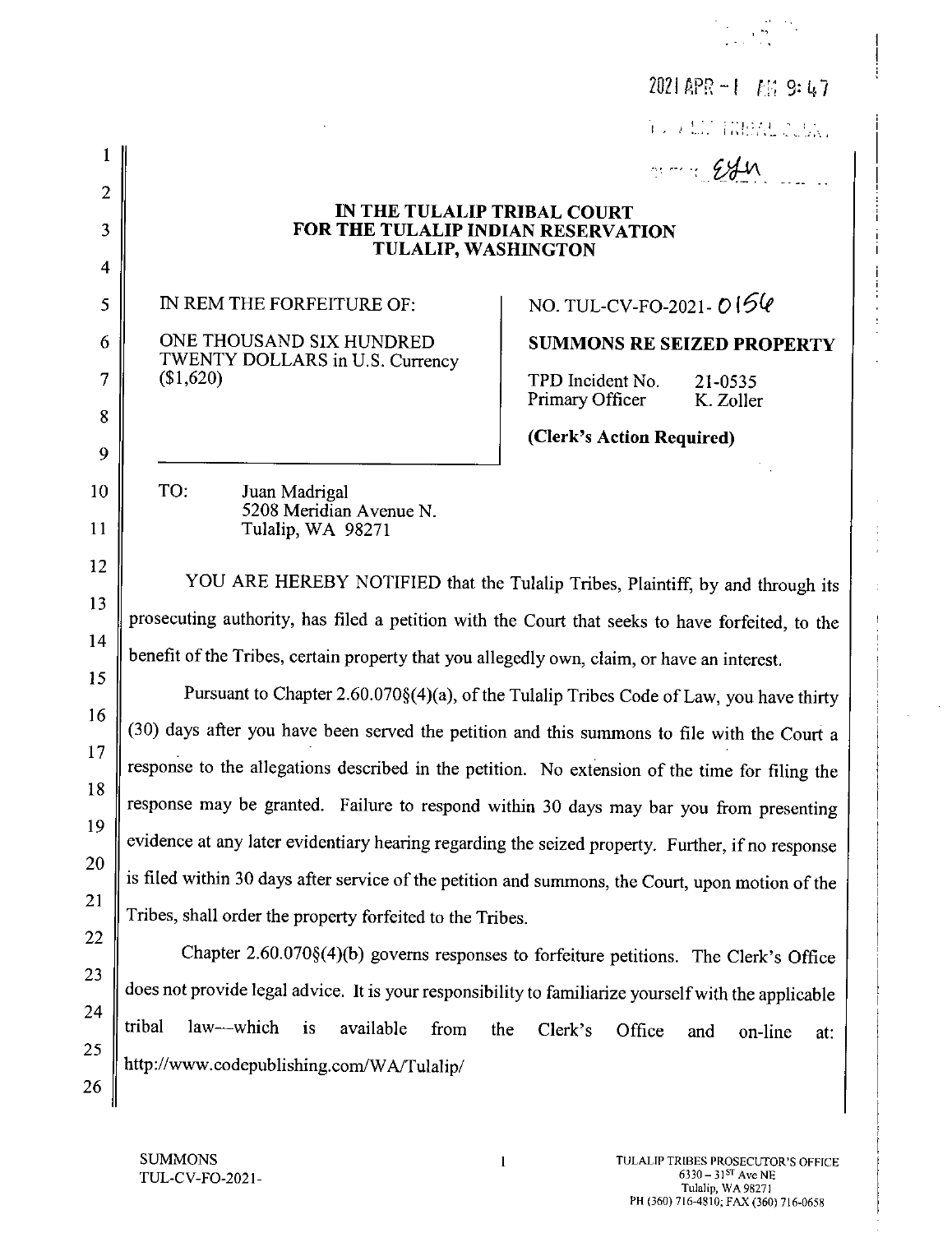|                |                                                                                                                                                                                   | 2021 APR $-1$ <i>FIA</i> 9: 47                                                          |  |  |
|----------------|-----------------------------------------------------------------------------------------------------------------------------------------------------------------------------------|-----------------------------------------------------------------------------------------|--|--|
|                |                                                                                                                                                                                   | TO A LITERARIZE CONT                                                                    |  |  |
|                |                                                                                                                                                                                   | $m = 24n$                                                                               |  |  |
| $\overline{2}$ | IN THE TULALIP TRIBAL COURT                                                                                                                                                       |                                                                                         |  |  |
| 3              | FOR THE TULALIP INDIAN RESERVATION<br><b>TULALIP, WASHINGTON</b>                                                                                                                  |                                                                                         |  |  |
| 4              |                                                                                                                                                                                   |                                                                                         |  |  |
| 5              | IN REM THE FORFEITURE OF:                                                                                                                                                         | NO. TUL-CV-FO-2021- $0156$                                                              |  |  |
| 6              | ONE THOUSAND SIX HUNDRED<br>TWENTY DOLLARS in U.S. Currency                                                                                                                       | <b>SUMMONS RE SEIZED PROPERTY</b>                                                       |  |  |
| 7              | (\$1,620)                                                                                                                                                                         | TPD Incident No.<br>21-0535<br>Primary Officer<br>K. Zoller                             |  |  |
| 8              |                                                                                                                                                                                   | (Clerk's Action Required)                                                               |  |  |
| 9              |                                                                                                                                                                                   |                                                                                         |  |  |
| 10             | TO:<br>Juan Madrigal<br>5208 Meridian Avenue N.                                                                                                                                   |                                                                                         |  |  |
| 11             | Tulalip, WA 98271                                                                                                                                                                 |                                                                                         |  |  |
| 12             | YOU ARE HEREBY NOTIFIED that the Tulalip Tribes, Plaintiff, by and through its<br>prosecuting authority, has filed a petition with the Court that seeks to have forfeited, to the |                                                                                         |  |  |
| 13             |                                                                                                                                                                                   |                                                                                         |  |  |
| 14             | benefit of the Tribes, certain property that you allegedly own, claim, or have an interest.                                                                                       |                                                                                         |  |  |
| 15             |                                                                                                                                                                                   | Pursuant to Chapter 2.60.070§(4)(a), of the Tulalip Tribes Code of Law, you have thirty |  |  |
| 16             | (30) days after you have been served the petition and this summons to file with the Court a                                                                                       |                                                                                         |  |  |
| 17             | response to the allegations described in the petition. No extension of the time for filing the                                                                                    |                                                                                         |  |  |
| 18             | response may be granted. Failure to respond within 30 days may bar you from presenting                                                                                            |                                                                                         |  |  |
| 19             | evidence at any later evidentiary hearing regarding the seized property. Further, if no response                                                                                  |                                                                                         |  |  |
| 20             |                                                                                                                                                                                   |                                                                                         |  |  |
| 21             | is filed within 30 days after service of the petition and summons, the Court, upon motion of the                                                                                  |                                                                                         |  |  |
| 22             | Tribes, shall order the property forfeited to the Tribes.                                                                                                                         |                                                                                         |  |  |
| 23             |                                                                                                                                                                                   | Chapter 2.60.070§(4)(b) governs responses to forfeiture petitions. The Clerk's Office   |  |  |
| 24             | does not provide legal advice. It is your responsibility to familiarize yourself with the applicable                                                                              |                                                                                         |  |  |
| 25             | tribal<br>law—which<br>is<br>available<br>from<br>the                                                                                                                             | Clerk's<br>Office<br>and<br>on-line<br>at:                                              |  |  |
| 26             | http://www.codepublishing.com/WA/Tulalip/                                                                                                                                         |                                                                                         |  |  |

 $\label{eq:2} \begin{split} \mathcal{F}^{(1)}_{\text{max}} &= \frac{1}{2} \mathcal{F}^{(1)}_{\text{max}} \mathcal{F}^{(1)}_{\text{max}} \\ &= \frac{1}{2} \mathcal{F}^{(1)}_{\text{max}} \mathcal{F}^{(1)}_{\text{max}} \mathcal{F}^{(1)}_{\text{max}} \mathcal{F}^{(1)}_{\text{max}} \mathcal{F}^{(1)}_{\text{max}} \mathcal{F}^{(1)}_{\text{max}} \mathcal{F}^{(1)}_{\text{max}} \mathcal{F}^{(1)}_{\text{max}} \mathcal{F}^{(1)}_{\text{max$ 

 $\frac{1}{1}$ 

 $\frac{1}{2}$  $\hat{\boldsymbol{\epsilon}}$  $\frac{1}{2}$ 

 $\sim$ 

 $\mathbf{1}$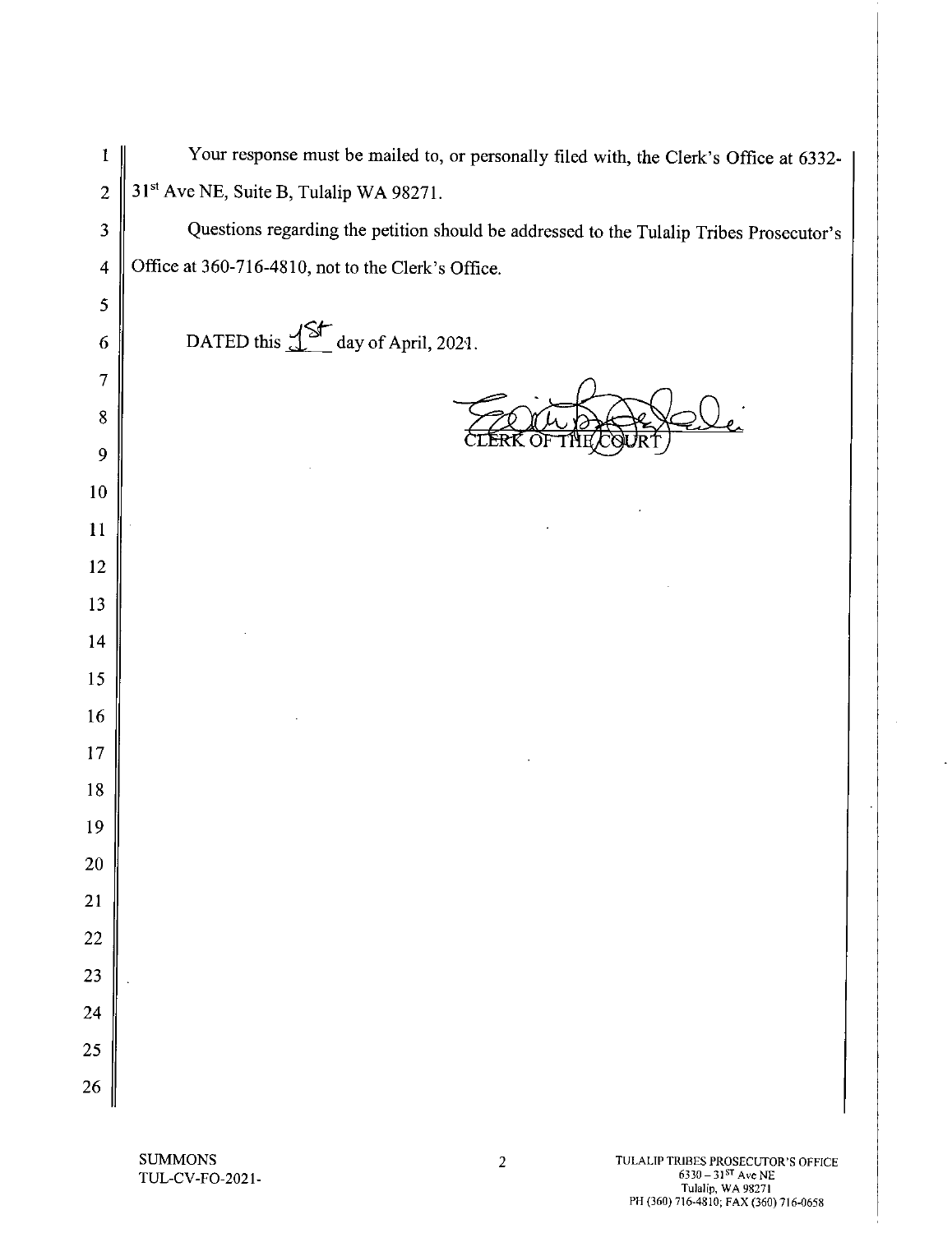Your response must be mailed to, or personally filed with, the Clerk's Office at 6332- $\mathbf{1}$ 31<sup>st</sup> Ave NE, Suite B, Tulalip WA 98271.  $\overline{c}$ Questions regarding the petition should be addressed to the Tulalip Tribes Prosecutor's  $\overline{\mathbf{3}}$ Office at 360-716-4810, not to the Clerk's Office.  $\overline{4}$ 5 DATED this  $15$  day of April, 2021. 6  $\overline{7}$  $\bf 8$ 9 10  $11$ 12 13 14 15 16 17 18 19 20 21 22 23 24 25 26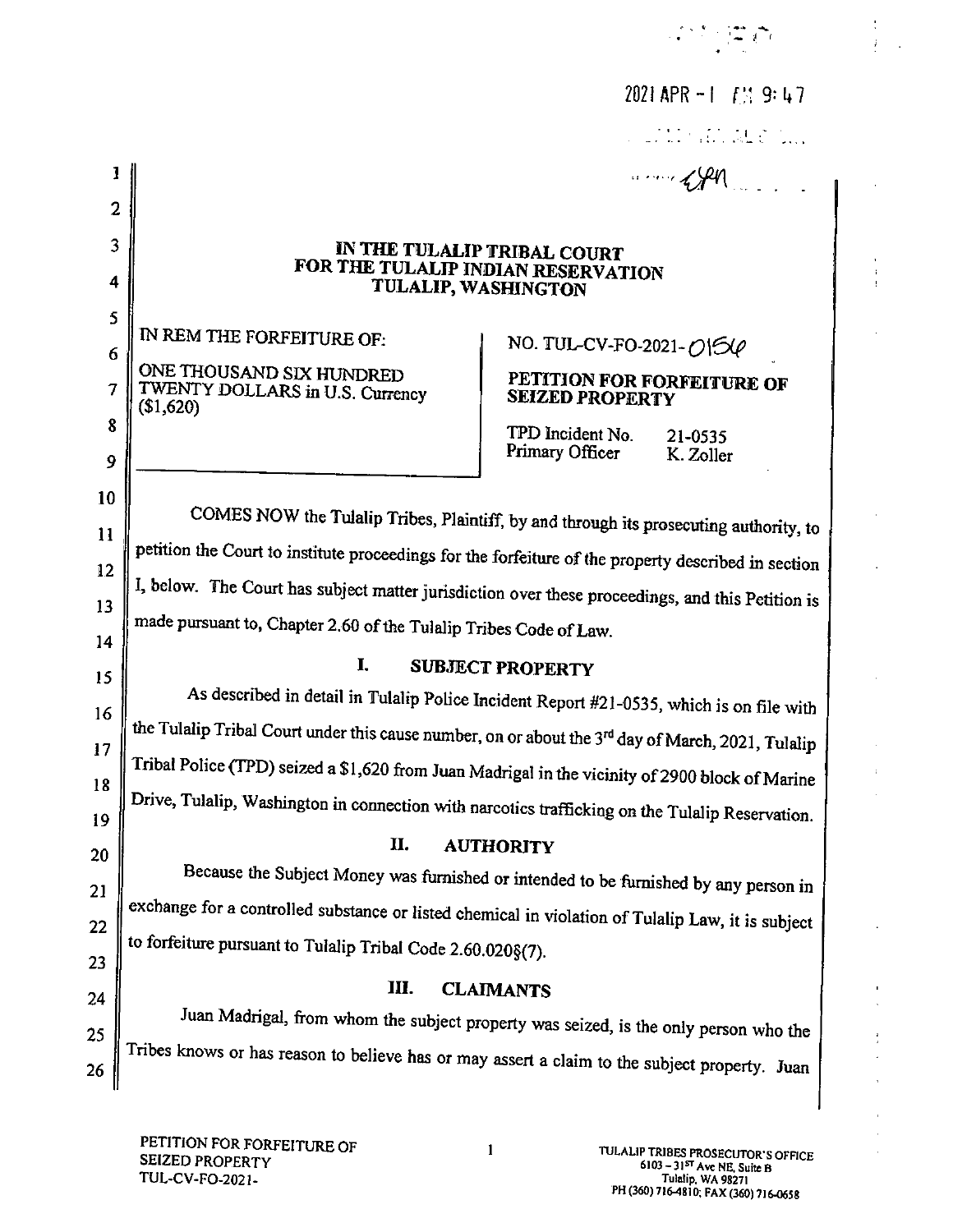|                |                                                                                                     | 2021 APR $-1$ $\left\{\frac{11}{2}\right\}$ 9: 47                                    |  |  |
|----------------|-----------------------------------------------------------------------------------------------------|--------------------------------------------------------------------------------------|--|--|
|                |                                                                                                     |                                                                                      |  |  |
| 1              |                                                                                                     | $\cdots$ $499$                                                                       |  |  |
| $\overline{2}$ |                                                                                                     |                                                                                      |  |  |
| 3              | IN THE TULALIP TRIBAL COURT                                                                         |                                                                                      |  |  |
| 4              | FOR THE TULALIP INDIAN RESERVATION<br>TULALIP, WASHINGTON                                           |                                                                                      |  |  |
| 5<br>6         | IN REM THE FORFEITURE OF:                                                                           | NO. TUL-CV-FO-2021-0154                                                              |  |  |
| 7              | ONE THOUSAND SIX HUNDRED<br>TWENTY DOLLARS in U.S. Currency<br>(\$1,620)                            | PETITION FOR FORFEITURE OF<br><b>SEIZED PROPERTY</b>                                 |  |  |
| 8<br>9         |                                                                                                     | TPD Incident No.<br>21-0535<br>Primary Officer<br>K. Zoller                          |  |  |
| 10             |                                                                                                     |                                                                                      |  |  |
| 11             | COMES NOW the Tulalip Tribes, Plaintiff, by and through its prosecuting authority, to               |                                                                                      |  |  |
| 12             | petition the Court to institute proceedings for the forfeiture of the property described in section |                                                                                      |  |  |
| 13             | I, below. The Court has subject matter jurisdiction over these proceedings, and this Petition is    |                                                                                      |  |  |
| 14             | made pursuant to, Chapter 2.60 of the Tulalip Tribes Code of Law.                                   |                                                                                      |  |  |
| 15             | I.<br><b>SUBJECT PROPERTY</b>                                                                       |                                                                                      |  |  |
| 16             | As described in detail in Tulalip Police Incident Report #21-0535, which is on file with            |                                                                                      |  |  |
| 17             | the Tulalip Tribal Court under this cause number, on or about the 3rd day of March, 2021, Tulalip   |                                                                                      |  |  |
| 18             | Tribal Police (TPD) seized a \$1,620 from Juan Madrigal in the vicinity of 2900 block of Marine     |                                                                                      |  |  |
| 19             | Drive, Tulalip, Washington in connection with narcotics trafficking on the Tulalip Reservation.     |                                                                                      |  |  |
| 20             | П.<br><b>AUTHORITY</b>                                                                              |                                                                                      |  |  |
| 21             |                                                                                                     | Because the Subject Money was furnished or intended to be furnished by any person in |  |  |
| 22             | exchange for a controlled substance or listed chemical in violation of Tulalip Law, it is subject   |                                                                                      |  |  |
| 23             | to forfeiture pursuant to Tulalip Tribal Code 2.60.020§(7).                                         |                                                                                      |  |  |
| 24             | Ш.                                                                                                  | <b>CLAIMANTS</b>                                                                     |  |  |
| 25             |                                                                                                     | Juan Madrigal, from whom the subject property was seized, is the only person who the |  |  |
| 26             | Tribes knows or has reason to believe has or may assert a claim to the subject property. Juan       |                                                                                      |  |  |
|                |                                                                                                     |                                                                                      |  |  |

 $\mathbf{1}$ 

 $\frac{1}{2}$ 

 $\mathbf{j}$ 

 $\pm$  $\bar{1}$ 

à.

 $\blacksquare$ 

 $\frac{1}{2}$ 

 $\bar{1}$ 

l.

 $\mathcal{L}^{(2)}$  ,  $\mathbb{Z}[\mathcal{C}]$